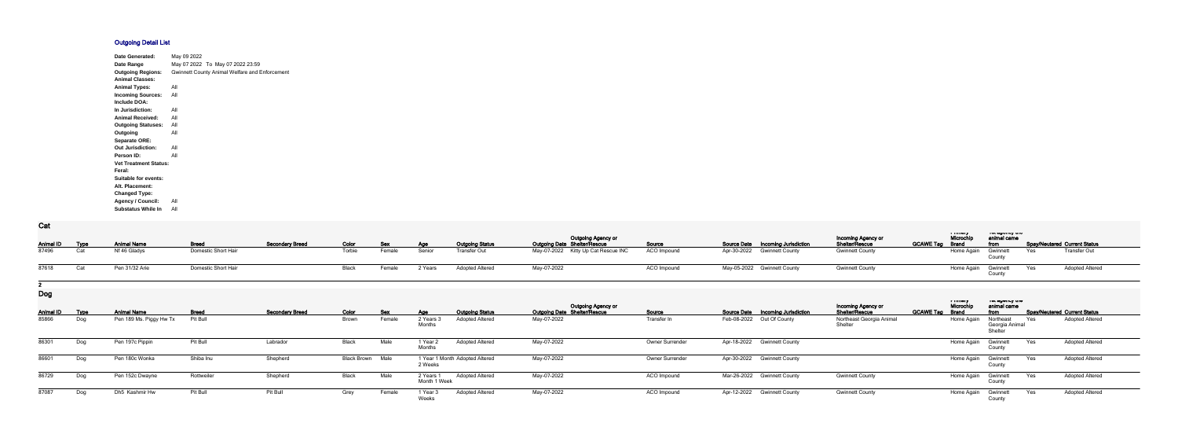## **Outgoing Detail List**

| Date Generated:              | May 09 2022 |                                                |
|------------------------------|-------------|------------------------------------------------|
| Date Range                   |             | May 07 2022 To May 07 2022 23:59               |
| <b>Outgoing Regions:</b>     |             | Gwinnett County Animal Welfare and Enforcement |
| <b>Animal Classes:</b>       |             |                                                |
| <b>Animal Types:</b>         | All         |                                                |
| <b>Incoming Sources:</b>     | All         |                                                |
| Include DOA:                 |             |                                                |
| In Jurisdiction:             | All         |                                                |
| <b>Animal Received:</b>      | All         |                                                |
| <b>Outgoing Statuses:</b>    | All         |                                                |
| Outgoing                     | All         |                                                |
| <b>Separate ORE:</b>         |             |                                                |
| <b>Out Jurisdiction:</b>     | All         |                                                |
| Person ID:                   | All         |                                                |
| <b>Vet Treatment Status:</b> |             |                                                |
| Feral:                       |             |                                                |
| Suitable for events:         |             |                                                |
| Alt. Placement:              |             |                                                |
| <b>Changed Type:</b>         |             |                                                |
| <b>Agency / Council:</b>     | All         |                                                |
| <b>Substatus While In</b>    | All         |                                                |

**Cat**

| val            |     |                    |                     |                        |        |        |         |                        |                                                                  |                    |                                          |                                      | a musuy                             | וייט שטייטאַ אי     |                                     |  |
|----------------|-----|--------------------|---------------------|------------------------|--------|--------|---------|------------------------|------------------------------------------------------------------|--------------------|------------------------------------------|--------------------------------------|-------------------------------------|---------------------|-------------------------------------|--|
| Animal ID Type |     | <b>Animal Name</b> | <b>Breed</b>        | <b>Secondary Breed</b> | Color  | Sex    | Age     | <b>Outgoing Status</b> | <b>Outgoing Agency or</b><br><b>Outgoing Date Shelter/Rescue</b> | <u>Source</u>      | <b>Source Date Incoming Jurisdiction</b> | Incoming Agency or<br>Shelter/Rescue | Microchi,<br><b>GCAWE Tag Brand</b> | animal came<br>from | <b>Spay/Neutered Current Status</b> |  |
| 87496          | Cat | Nf 46 Gladys       | Domestic Short Hair |                        | Torbie | Female | Senior  | Transfer Out           | May-07-2022 Kitty Up Cat Rescue INC                              | <b>ACO Impound</b> | Apr-30-2022 Gwinnett County              | <b>Gwinnett County</b>               | Home Again Gwinnett                 |                     | <b>Transfer Out</b><br>Yes          |  |
| 87618          |     | Pen 31/32 Arie     | Domestic Short Hair |                        | Black  | Female | 2 Years | <b>Adopted Altered</b> | May-07-2022                                                      | ACO Impound        | May-05-2022 Gwinnett County              | <b>Gwinnett County</b>               | Home Again                          | Gwinnett            | <b>Adopted Altered</b><br>Yes       |  |
|                |     |                    |                     |                        |        |        |         |                        |                                                                  |                    |                                          |                                      |                                     |                     |                                     |  |

**Dog**

| ---            |     |                         |                 |                        |                         |        |                           |                                |                                                                  |                        |                                   |                                                    |                  |                                     |                                          |     |                                     |
|----------------|-----|-------------------------|-----------------|------------------------|-------------------------|--------|---------------------------|--------------------------------|------------------------------------------------------------------|------------------------|-----------------------------------|----------------------------------------------------|------------------|-------------------------------------|------------------------------------------|-----|-------------------------------------|
| Animal ID Type |     | <b>Animal Name</b>      | <b>Breed</b>    | <b>Secondary Breed</b> | Color                   | Sex    | Age                       | <b>Outgoing Status</b>         | <b>Outgoing Agency or</b><br><b>Outgoing Date Shelter/Rescue</b> | Source                 | Source Date Incoming Jurisdiction | <b>Incoming Agency or</b><br><b>Shelter/Rescue</b> | <b>GCAWE Tag</b> | i music<br>Microchi<br><b>Brand</b> | ו סו טשטווטץ נווס<br>animal came<br>from |     | <b>Spay/Neutered Current Status</b> |
| 85866          | Dog | Pen 189 Ms. Piggy Hw Tx | <b>Pit Bull</b> |                        | Brown                   | Female | 2 Years:<br>Months        | <b>Adopted Altered</b>         | May-07-2022                                                      | Transfer In            | Feb-08-2022 Out Of County         | Northeast Georgia Animal<br>Shelter                |                  | Home Again                          | Northeast<br>Georgia Animal<br>Shelteı   | Yes | <b>Adopted Altered</b>              |
| 86301          | Dog | Pen 197c Pippin         | Pit Bull        | Labrador               | Black                   | Male   | 1 Year:<br>Months         | <b>Adopted Altered</b>         | May-07-2022                                                      | <b>Owner Surrender</b> | Apr-18-2022 Gwinnett County       |                                                    |                  | Home Again                          | Gwinnett<br>County                       | Yes | <b>Adopted Altered</b>              |
| 86601          | Dog | Pen 180c Wonka          | Shiba Inu       | Shepherd               | <b>Black Brown Male</b> |        | 2 Weeks                   | 1 Year 1 Month Adopted Altered | May-07-2022                                                      | Owner Surrender        | Apr-30-2022 Gwinnett County       |                                                    |                  | Home Agair                          | Gwinnett<br>Count                        | Yes | <b>Adopted Altered</b>              |
| 86729          | Dog | Pen 152c Dwayne         | Rottweiler      | Shepherd               | Black                   | Male   | 2 Years 1<br>Month 1 Week | <b>Adopted Altered</b>         | May-07-2022                                                      | ACO Impound            | Mar-26-2022 Gwinnett County       | <b>Gwinnett County</b>                             |                  | Home Agair                          | Gwinnett<br>County                       | Yes | <b>Adopted Altered</b>              |
| 87087          | Dog | Dh5 Kashmir Hw          | Pit Bull        | Pit Bull               | Grey                    | Female | 1 Year:<br>Weeks          | <b>Adopted Altered</b>         | May-07-2022                                                      | ACO Impound            | Apr-12-2022 Gwinnett County       | <b>Gwinnett County</b>                             |                  | Home Again                          | Gwinnett<br>Count                        | Yes | <b>Adopted Altered</b>              |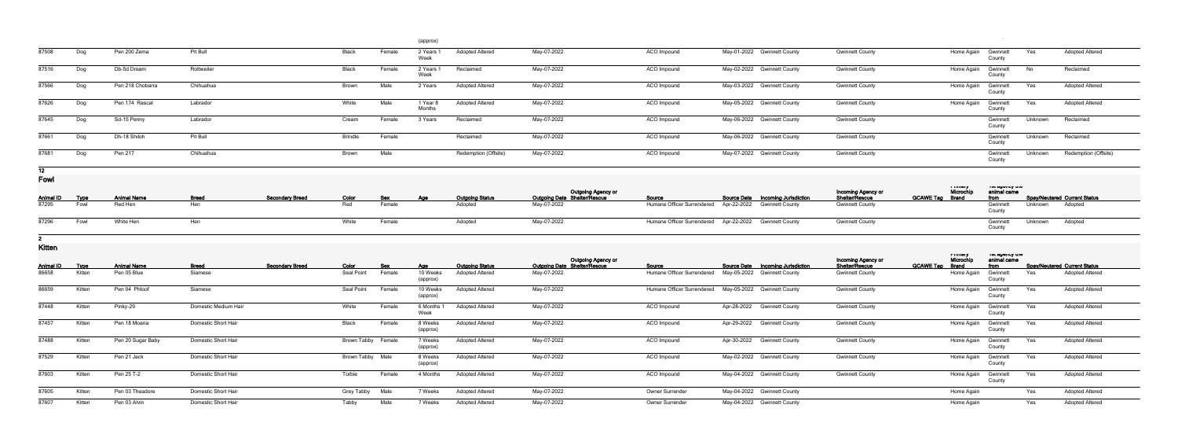|                  |             |                    |                            |                        |                           |            | (approx)             |                        |                                                    |                                                              |             |                                          |                        |                        |                       |                                  |         |                                     |
|------------------|-------------|--------------------|----------------------------|------------------------|---------------------------|------------|----------------------|------------------------|----------------------------------------------------|--------------------------------------------------------------|-------------|------------------------------------------|------------------------|------------------------|-----------------------|----------------------------------|---------|-------------------------------------|
| 87508            | Dog         | Pen 200 Zema       | Pit Bull                   |                        | Black                     | Female     | 2 Years<br>Week      | <b>Adopted Altered</b> | May-07-2022                                        | ACO Impound                                                  |             | May-01-2022 Gwinnett County              | <b>Gwinnett County</b> |                        | Home Again            | Gwinnett<br>County               | Yes     | <b>Adopted Altered</b>              |
| 87516            | Dog         | Db-5d Dream        | Rottweiler                 |                        | Black                     | Female     | 2 Years<br>Week      | Reclaimed              | May-07-2022                                        | ACO Impound                                                  |             | May-02-2022 Gwinnett County              | <b>Gwinnett County</b> |                        | Home Again            | Gwinnett<br>County               | No      | Reclaimed                           |
| 87566            | Dog         | Pen 218 Chobarra   | Chihuahua                  |                        | <b>Brown</b>              | Male       | 2 Years              | <b>Adopted Altered</b> | May-07-2022                                        | ACO Impound                                                  |             | May-03-2022 Gwinnett County              | <b>Gwinnett County</b> |                        | Home Again            | Gwinnett<br>County               | Yes     | <b>Adopted Altered</b>              |
| 87626            | Dog         | Pen 174 Rascal     | Labrador                   |                        | White                     | Male       | 1 Year 8<br>Months   | <b>Adopted Altered</b> | May-07-2022                                        | ACO Impound                                                  |             | May-05-2022 Gwinnett County              | <b>Gwinnett County</b> |                        | Home Again            | Gwinnett<br>County               | Yes     | <b>Adopted Altered</b>              |
| 87645            | Dog         | Sd-15 Penny        | Labrador                   |                        | Cream                     | Female     | 3 Years              | Reclaimed              | May-07-2022                                        | ACO Impound                                                  |             | May-06-2022 Gwinnett County              | <b>Gwinnett County</b> |                        |                       | Gwinnett<br>County               | Unknown | Reclaimed                           |
| 87661            | Dog         | Dh-18 Shiloh       | Pit Bull                   |                        | <b>Brindle</b>            | Female     |                      | Reclaimed              | May-07-2022                                        | ACO Impound                                                  |             | May-06-2022 Gwinnett County              | <b>Gwinnett County</b> |                        |                       | Gwinnett<br>County               | Unknown | Reclaimed                           |
| 87681            | Dog         | Pen 217            | Chihuahua                  |                        | <b>Brown</b>              | Male       |                      | Redemption (Offsite)   | May-07-2022                                        | ACO Impound                                                  |             | May-07-2022 Gwinnett County              | <b>Gwinnett County</b> |                        |                       | Gwinnett<br>County               | Unknown | Redemption (Offsite)                |
| 12               |             |                    |                            |                        |                           |            |                      |                        |                                                    |                                                              |             |                                          |                        |                        |                       |                                  |         |                                     |
| <b>Fowl</b>      |             |                    |                            |                        |                           |            |                      |                        | Outgoing Agency or<br>Outgoing Date Shelter/Rescue |                                                              |             |                                          | Incoming Agency or     |                        | i imiaiy<br>Microchip | ו סג טאַוסאָ גווס<br>animal came |         |                                     |
| <b>Animal ID</b> | <b>Type</b> | <b>Animal Name</b> | <b>Breed</b>               | <b>Secondary Breed</b> | Color                     | <u>Sex</u> | Age                  | <b>Outgoing Status</b> |                                                    | Source                                                       | Source Date | <b>Incoming Jurisdiction</b>             | Shelter/Rescue         | <b>GCAWE Tag Brand</b> |                       | from                             |         | <b>Spay/Neutered Current Status</b> |
| 87295            | Fowl        | Red Hen            | Hen                        |                        | Red                       | Female     |                      | Adopted                | May-07-2022                                        | Humane Officer Surrendered                                   | Apr-22-2022 | <b>Gwinnett County</b>                   | <b>Gwinnett County</b> |                        |                       | Gwinnet<br>County                | Unknown | Adopted                             |
| 87296            | Fowl        | White Hen          | Hen                        |                        | White                     | Female     |                      | Adopted                | May-07-2022                                        | Humane Officer Surrendered Apr-22-2022                       |             | <b>Gwinnett County</b>                   | <b>Gwinnett County</b> |                        |                       | Gwinnett<br>County               | Unknown | Adopted                             |
|                  |             |                    |                            |                        |                           |            |                      |                        |                                                    |                                                              |             |                                          |                        |                        |                       |                                  |         |                                     |
| <b>Kitten</b>    |             |                    |                            |                        |                           |            |                      |                        | Outgoing Agency or                                 |                                                              |             |                                          | Incoming Agency or     |                        | т типогу<br>Microchip | יסו טשטווטץ גווס<br>animal came  |         |                                     |
| <b>Animal ID</b> | <b>Type</b> | <b>Animal Name</b> | <b>Breed</b>               | <b>Secondary Breed</b> | Color                     | <u>Sex</u> | Age                  | <b>Outgoing Status</b> | <b>Outgoing Date Shelter/Rescue</b>                | Source                                                       |             | <b>Source Date Incoming Jurisdiction</b> | <b>Shelter/Rescue</b>  | <b>GCAWE Tag Brand</b> |                       | <u>from</u>                      |         | <b>Spay/Neutered Current Status</b> |
| 86658            | Kitten      | Pen 05 Blue        | Siamese                    |                        | Seal Point                | Female     | 10 Weeks<br>(approx) | <b>Adopted Altered</b> | May-07-2022                                        | Humane Officer Surrendered    May-05-2022    Gwinnett County |             |                                          | <b>Gwinnett County</b> |                        | Home Again            | Gwinnett<br>County               | Yes     | <b>Adopted Altered</b>              |
| 86659            | Kitten      | Pen 04 Phloof      | Siamese                    |                        | Seal Point                | Female     | 10 Weeks<br>(approx) | <b>Adopted Altered</b> | May-07-2022                                        | Humane Officer Surrendered  May-05-2022  Gwinnett County     |             |                                          | <b>Gwinnett County</b> |                        | Home Again            | Gwinnett<br>County               | Yes     | <b>Adopted Altered</b>              |
| 87448            | Kitten      | Pinky-29           | Domestic Medium Hair       |                        | White                     | Female     | 6 Months<br>Week     | <b>Adopted Altered</b> | May-07-2022                                        | ACO Impound                                                  |             | Apr-28-2022 Gwinnett County              | <b>Gwinnett County</b> |                        | Home Again            | Gwinnett<br>County               | Yes     | <b>Adopted Altered</b>              |
| 87457            | Kitten      | Pen 18 Moana       | <b>Domestic Short Hair</b> |                        | Black                     | Female     | 8 Weeks<br>(approx)  | <b>Adopted Altered</b> | May-07-2022                                        | ACO Impound                                                  | Apr-29-2022 | <b>Gwinnett County</b>                   | <b>Gwinnett County</b> |                        | Home Again            | Gwinnett<br>County               | Yes     | <b>Adopted Altered</b>              |
| 87488            | Kitten      | Pen 20 Sugar Baby  | <b>Domestic Short Hair</b> |                        | <b>Brown Tabby Female</b> |            | 7 Weeks<br>(approx)  | <b>Adopted Altered</b> | May-07-2022                                        | ACO Impound                                                  |             | Apr-30-2022 Gwinnett County              | <b>Gwinnett County</b> |                        | Home Again            | Gwinnett<br>County               | Yes     | <b>Adopted Altered</b>              |
| 87529            | Kitten      | Pen 21 Jack        | <b>Domestic Short Hair</b> |                        | Brown Tabby Male          |            | 8 Weeks<br>(approx)  | <b>Adopted Altered</b> | May-07-2022                                        | ACO Impound                                                  |             | May-02-2022 Gwinnett County              | <b>Gwinnett County</b> |                        | Home Again            | Gwinnett<br>County               | Yes     | <b>Adopted Altered</b>              |
| 87603            | Kitten      | Pen 25 T-2         | <b>Domestic Short Hair</b> |                        | Torbie                    | Female     | 4 Months             | <b>Adopted Altered</b> | May-07-2022                                        | ACO Impound                                                  |             | May-04-2022 Gwinnett County              | <b>Gwinnett County</b> |                        | Home Again            | Gwinnett<br>County               | Yes     | <b>Adopted Altered</b>              |
| 87605            | Kitten      | Pen 03 Theadore    | <b>Domestic Short Hair</b> |                        | Grey Tabby                | Male       | 7 Weeks              | <b>Adopted Altered</b> | May-07-2022                                        | Owner Surrender                                              |             | May-04-2022 Gwinnett County              |                        |                        | Home Again            |                                  | Yes     | <b>Adopted Altered</b>              |
| 87607            | Kitten      | Pen 03 Alvin       | Domestic Short Hair        |                        | Tabby                     | Male       | 7 Weeks              | <b>Adopted Altered</b> | May-07-2022                                        | Owner Surrender                                              |             | May-04-2022 Gwinnett County              |                        |                        | Home Again            |                                  | Yes     | <b>Adopted Altered</b>              |